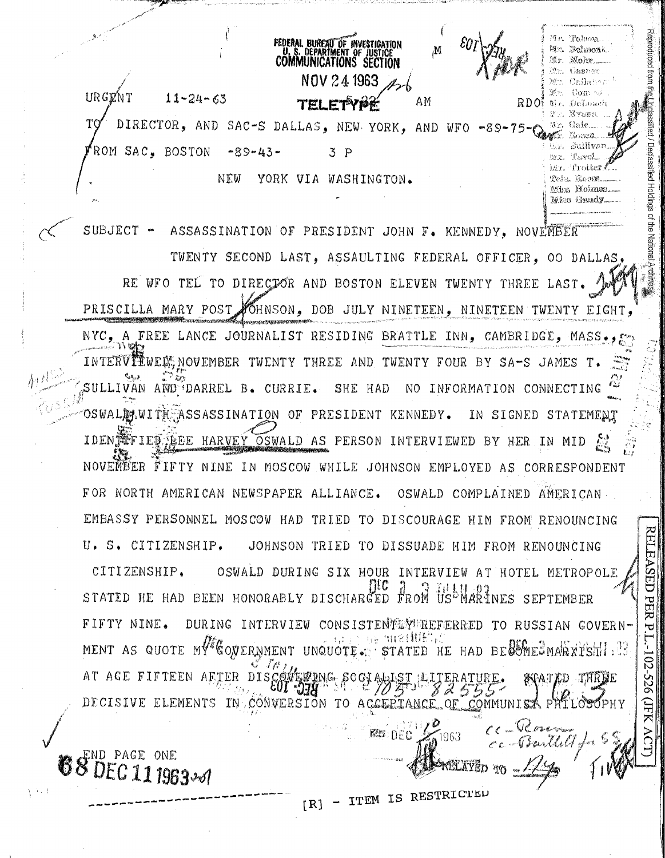NOV 24 1963  $\mathcal{L}_{\mathcal{C}}(\mathcal{C}_{\mathcal{C}})$ IRGENT  $11 - 24 - 63$ AM RDO: Mr. DeLoach tei e Mr. Mouna DIRECTOR, AND SAC-S DALLAS, NEW YORK, AND WFO -89-75- $TQ$ Ar. Gale r. Sullivar ROM SAC. BOSTON  $-89 - 43 \bar{3}$   $\bar{p}$ twr. Tavel Mr. Trotter. NEW YORK VIA WASHINGTON. Tela Koom

**FEDERAL BUREAU OF INVESTIGATION**<br>U. S. DEPARTMENT OF JUSTICE<br>COMMUNICATIONS SECTION

M

Reproduced from

Ē

/ Declassified

Holdings of the National

**RELEASED** 

**PER P** 

102-526

**AHC** 

AC

 $\Omega$  crea

antlet for

Mr. Robnozi

Mohr. Gasmar

Callabes

Com wi

Kossen.

Miss Holmes. Miss Gandy

SA 30

SUBJECT - ASSASSINATION OF PRESIDENT JOHN F. KENNEDY, NOVEMBER TWENTY SECOND LAST. ASSAULTING FEDERAL OFFICER. OO DALLAS. RE WFO TEL TO DIRECTOR AND BOSTON ELEVEN TWENTY THREE PRISCILLA MARY POST FOHNSON, DOB JULY NINETEEN, NINETEEN TWENTY EIGHT. NYC. A FREE LANCE JOURNALIST RESIDING BRATTLE INN. CAMBRIDGE. MASS.. INTERVILUE NOVEMBER TWENTY THREE AND TWENTY FOUR BY SA-S JAMES T. SULLIVAN AND DARREL B. CURRIE. SHE HAD NO INFORMATION CONNECTING OSWALDLWITH ASSASSINATION OF PRESIDENT KENNEDY. IN SIGNED STATEMENT IDEN TELED LEE HARVEY OSWALD AS PERSON INTERVIEWED BY HER IN MID NOVENEER FIFTY NINE IN MOSCOW WHILE JOHNSON EMPLOYED AS CORRESPONDENT FOR NORTH AMERICAN NEWSPAPER ALLIANCE. OSWALD COMPLAINED AMERICAN EMBASSY PERSONNEL MOSCOW HAD TRIED TO DISCOURAGE HIM FROM RENOUNCING U. S. CITIZENSHIP. JOHNSON TRIED TO DISSUADE HIM FROM RENOUNCING OSWALD DURING SIX HOUR INTERVIEW AT HOTEL METROPOLE CITIZENSHIP. ПЕС STATED HE HAD BEEN HONORABLY DISCHARGED FROM US<sup>L</sup>IMARINES SEPTEMBER FIFTY NINE. DURING INTERVIEW CONSISTENTET TERRED TO RUSSIAN GOVERN-- tu i i i i i je i titを(紙形) j( MENT AS QUOTE MV CONERNMENT UNQUOTE. STATED HE HAD BECOMES MARXISH . 3 AT AGE FIFTEEN AETER DISC **STATED THREE** 10 Z DECISIVE ELEMENTS IN CONVERSION TO ACCEPIANCE OF COMMUNIST PHILOSOPHY

68 PAGE ONE DEC 11 1963-0

ITEM IS RESTRICTED  $[R]$ 

**PED DEC** 

1963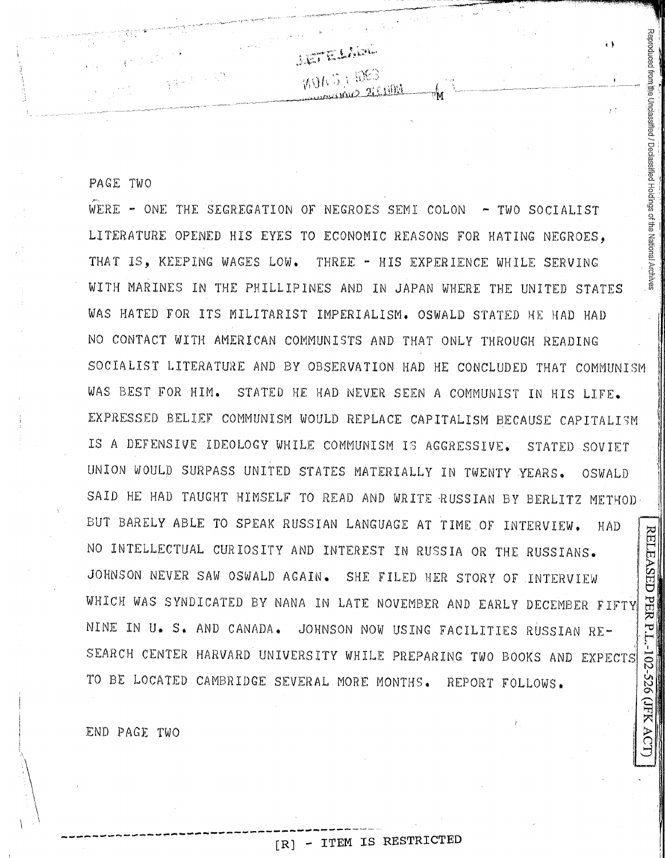PAGE TWO

Reproduced from the Unclassified / Declassified Holdings of the National Archi  $\cdots$  , WERE - ONE THE SEGREGATION OF NEGROES SEMI COLON - TWO SOCIALIST LITERATURE OPENED HIS EYES TO ECONOMIC REASONS FOR HATING NEGROES, THAT IS, KEEPING WAGES LOW. THREE - HIS EXPERIENCE WHILE SERVING WITH MARINES IN THE PHILLIPINES AND IN JAPAN WHERE THE UNITED STATES WAS HATED FOR ITS MILITARIST IMPERIALISM. OSWALD STATED HE HAD HAD NO CONTACT WITH AMERICAN COMMUNISTS AND THAT ONLY THROUGH READING SOCIALIST LITERATURE AND BY OBSERVATION HAD HE CONCLUDED THAT COMMUNISM WAS BEST FOR HIM. STATED HE HAD NEVER SEEN A COMMUNIST IN HIS LIFE. EXPRESSED BELIEF COMMUNISM WOULD REPLACE CAPITALISM BECAUSE CAPITALISM IS *A* DEFENSIVE IDEOLOGY WHILE COMMUNISM IS AGGRESSIVE. STATED SOVIET UNION WOULD SURPASS UNITED STATES MATERIALLY IN TWENTY YEARS, OSWALD SAID HE HAD TAUGHT HIMSELF TO READ AND WRITE RUSSIAN BY BERLITZ METHOD-BUT BARELY ABLE TO SPEAK RUSSIAN LANGUAGE AT TIME OF INTERVIEW. HAD<br>NO INTELLECTUAL CURIOSITY AND INTEREST IN RUSSIA OR THE RUSSIANS.<br>JOHNSON NEVER SAW OSWALD AGAIN. SHE FILED HER STORY OF INTERVIEW HAD I~ NO INTELLECTUAL CURIOSITY AND INTEREST IN RUSSIA OR THE RUSSIANS. I JOHNSON NEVER SAW OSWALD AGAIN. SHE FILED HER STORY OF INTERVIEW WHICH WAS SYNDICATED BY NANA IN LATE NOVEMBER AND EARLY DECEMBER FIFTY <sup>~</sup>' ?J NINE IN U. S. AND CANADA. JOHNSON NOW USING FACILITIES RUSSIAN RE- -~ *(* ·, . SEARCH CENTER HARVARD UNIVERSITY WHILE PREPARING TWO BOOKS AND EXPECTS TO BE LOCATED CAMBRIDGE SEVERAL MORE MONTHS. REPORT FOLLOWS.  $\frac{2}{2}$ 

**ISTELLING** 

MONS I RES

ii I

I ri I

||| ,, I

~.

END PAGE TWO